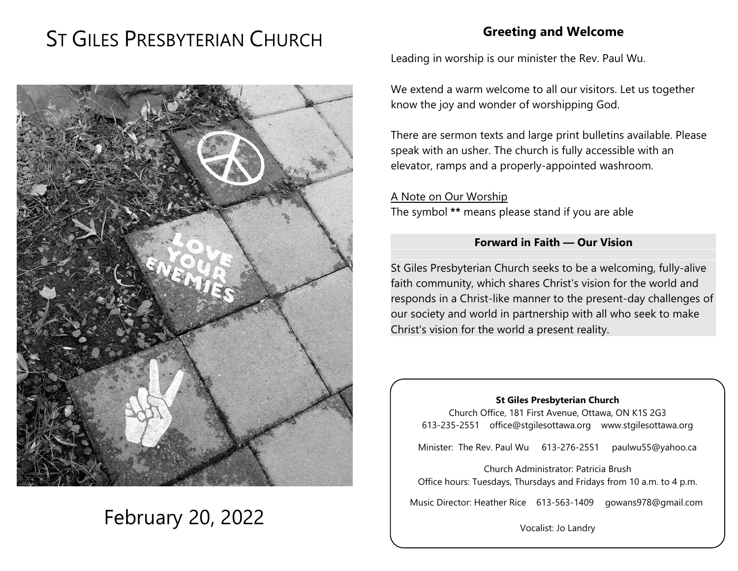# ST GILES PRESBYTERIAN CHURCH

# February 20, 2022

# **Greeting and Welcome**

Leading in worship is our minister the Rev. Paul Wu.

We extend a warm welcome to all our visitors. Let us together know the joy and wonder of worshipping God.

There are sermon texts and large print bulletins available. Please speak with an usher. The church is fully accessible with an elevator, ramps and a properly-appointed washroom.

A Note on Our Worship The symbol **\*\*** means please stand if you are able

#### **Forward in Faith — Our Vision**

St Giles Presbyterian Church seeks to be a welcoming, fully-alive faith community, which shares Christ's vision for the world and responds in a Christ-like manner to the present-day challenges of our society and world in partnership with all who seek to make Christ's vision for the world a present reality.

#### **St Giles Presbyterian Church**

Church Office, 181 First Avenue, Ottawa, ON K1S 2G3 613-235-2551 office@stgilesottawa.org www.stgilesottawa.org

Minister: The Rev. Paul Wu 613-276-2551 paulwu55@yahoo.ca

Church Administrator: Patricia Brush Office hours: Tuesdays, Thursdays and Fridays from 10 a.m. to 4 p.m.

Music Director: Heather Rice 613-563-1409 gowans978@gmail.com

Vocalist: Jo Landry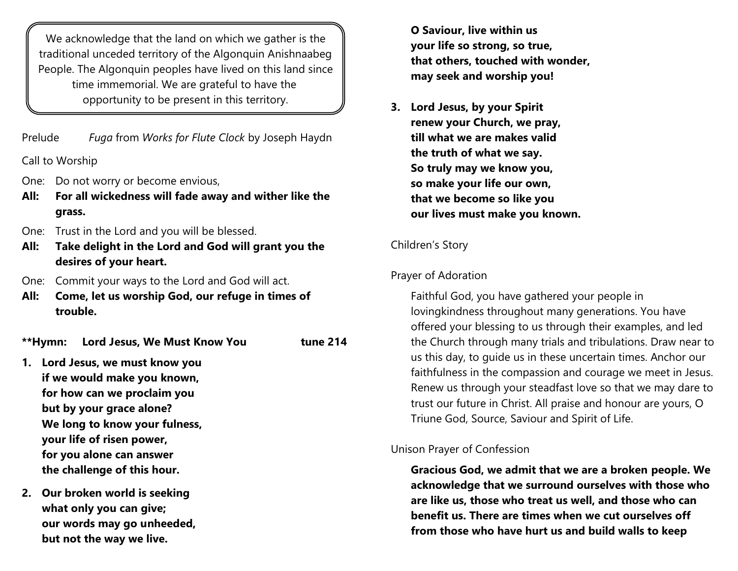We acknowledge that the land on which we gather is the traditional unceded territory of the Algonquin Anishnaabeg People. The Algonquin peoples have lived on this land since time immemorial. We are grateful to have the opportunity to be present in this territory.

Prelude *Fuga* from *Works for Flute Clock* by Joseph Haydn

Call to Worship

- One: Do not worry or become envious,
- **All: For all wickedness will fade away and wither like the grass.**
- One: Trust in the Lord and you will be blessed.
- **All: Take delight in the Lord and God will grant you the desires of your heart.**
- One: Commit your ways to the Lord and God will act.
- **All: Come, let us worship God, our refuge in times of trouble.**

**\*\*Hymn: Lord Jesus, We Must Know You tune 214**

- **1. Lord Jesus, we must know you if we would make you known, for how can we proclaim you but by your grace alone? We long to know your fulness, your life of risen power, for you alone can answer the challenge of this hour.**
- **2. Our broken world is seeking what only you can give; our words may go unheeded, but not the way we live.**

**O Saviour, live within us your life so strong, so true, that others, touched with wonder, may seek and worship you!**

**3. Lord Jesus, by your Spirit renew your Church, we pray, till what we are makes valid the truth of what we say. So truly may we know you, so make your life our own, that we become so like you our lives must make you known.**

#### Children's Story

#### Prayer of Adoration

Faithful God, you have gathered your people in lovingkindness throughout many generations. You have offered your blessing to us through their examples, and led the Church through many trials and tribulations. Draw near to us this day, to guide us in these uncertain times. Anchor our faithfulness in the compassion and courage we meet in Jesus. Renew us through your steadfast love so that we may dare to trust our future in Christ. All praise and honour are yours, O Triune God, Source, Saviour and Spirit of Life.

#### Unison Prayer of Confession

**Gracious God, we admit that we are a broken people. We acknowledge that we surround ourselves with those who are like us, those who treat us well, and those who can benefit us. There are times when we cut ourselves off from those who have hurt us and build walls to keep**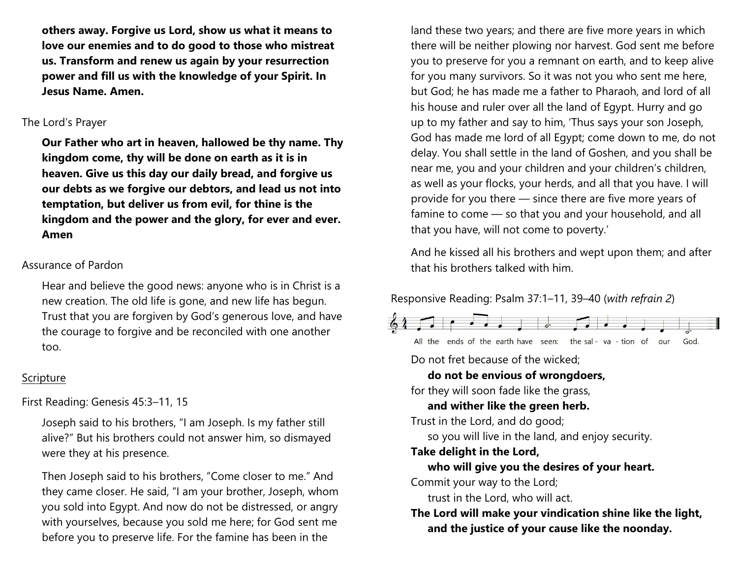**others away. Forgive us Lord, show us what it means to love our enemies and to do good to those who mistreat us. Transform and renew us again by your resurrection power and fill us with the knowledge of your Spirit. In Jesus Name. Amen.**

#### The Lord's Prayer

**Our Father who art in heaven, hallowed be thy name. Thy kingdom come, thy will be done on earth as it is in heaven. Give us this day our daily bread, and forgive us our debts as we forgive our debtors, and lead us not into temptation, but deliver us from evil, for thine is the kingdom and the power and the glory, for ever and ever. Amen**

#### Assurance of Pardon

Hear and believe the good news: anyone who is in Christ is a new creation. The old life is gone, and new life has begun. Trust that you are forgiven by God's generous love, and have the courage to forgive and be reconciled with one another too.

#### Scripture

First Reading: Genesis 45:3–11, 15

Joseph said to his brothers, "I am Joseph. Is my father still alive?" But his brothers could not answer him, so dismayed were they at his presence.

Then Joseph said to his brothers, "Come closer to me." And they came closer. He said, "I am your brother, Joseph, whom you sold into Egypt. And now do not be distressed, or angry with yourselves, because you sold me here; for God sent me before you to preserve life. For the famine has been in the

land these two years; and there are five more years in which there will be neither plowing nor harvest. God sent me before you to preserve for you a remnant on earth, and to keep alive for you many survivors. So it was not you who sent me here, but God; he has made me a father to Pharaoh, and lord of all his house and ruler over all the land of Egypt. Hurry and go up to my father and say to him, 'Thus says your son Joseph, God has made me lord of all Egypt; come down to me, do not delay. You shall settle in the land of Goshen, and you shall be near me, you and your children and your children's children, as well as your flocks, your herds, and all that you have. I will provide for you there — since there are five more years of famine to come — so that you and your household, and all that you have, will not come to poverty.'

And he kissed all his brothers and wept upon them; and after that his brothers talked with him.

### Responsive Reading: Psalm 37:1–11, 39–40 (*with refrain 2*)



Do not fret because of the wicked;

**do not be envious of wrongdoers,**

for they will soon fade like the grass,

#### **and wither like the green herb.**

Trust in the Lord, and do good;

so you will live in the land, and enjoy security.

#### **Take delight in the Lord,**

#### **who will give you the desires of your heart.**

Commit your way to the Lord;

trust in the Lord, who will act.

### **The Lord will make your vindication shine like the light, and the justice of your cause like the noonday.**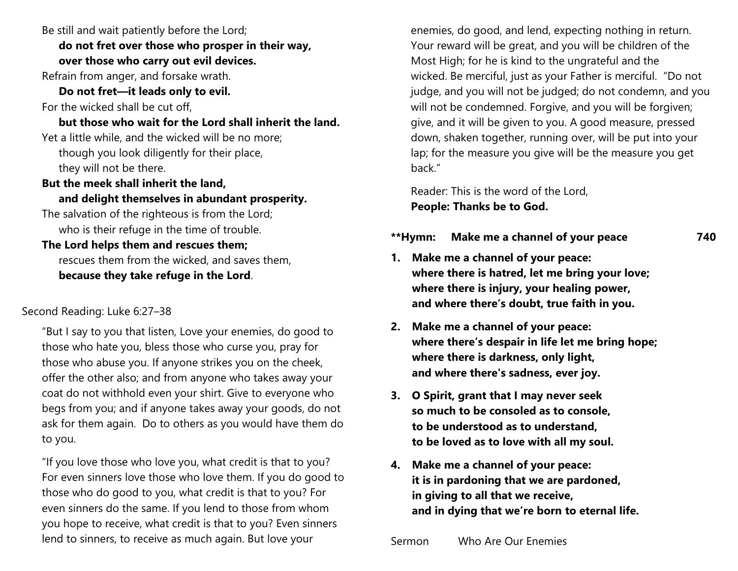Be still and wait patiently before the Lord;

# **do not fret over those who prosper in their way, over those who carry out evil devices.**

Refrain from anger, and forsake wrath.

**Do not fret—it leads only to evil.** For the wicked shall be cut off,

# **but those who wait for the Lord shall inherit the land.** Yet a little while, and the wicked will be no more; though you look diligently for their place, they will not be there.

**But the meek shall inherit the land, and delight themselves in abundant prosperity.** The salvation of the righteous is from the Lord;

who is their refuge in the time of trouble.

# **The Lord helps them and rescues them;** rescues them from the wicked, and saves them, **because they take refuge in the Lord**.

### Second Reading: Luke 6:27–38

"But I say to you that listen, Love your enemies, do good to those who hate you, bless those who curse you, pray for those who abuse you. If anyone strikes you on the cheek, offer the other also; and from anyone who takes away your coat do not withhold even your shirt. Give to everyone who begs from you; and if anyone takes away your goods, do not ask for them again. Do to others as you would have them do to you.

"If you love those who love you, what credit is that to you? For even sinners love those who love them. If you do good to those who do good to you, what credit is that to you? For even sinners do the same. If you lend to those from whom you hope to receive, what credit is that to you? Even sinners lend to sinners, to receive as much again. But love your

enemies, do good, and lend, expecting nothing in return. Your reward will be great, and you will be children of the Most High; for he is kind to the ungrateful and the wicked. Be merciful, just as your Father is merciful. "Do not judge, and you will not be judged; do not condemn, and you will not be condemned. Forgive, and you will be forgiven; give, and it will be given to you. A good measure, pressed down, shaken together, running over, will be put into your lap; for the measure you give will be the measure you get back."

Reader: This is the word of the Lord, **People: Thanks be to God.**

### **\*\*Hymn: Make me a channel of your peace 740**

- **1. Make me a channel of your peace: where there is hatred, let me bring your love; where there is injury, your healing power, and where there's doubt, true faith in you.**
- **2. Make me a channel of your peace: where there's despair in life let me bring hope; where there is darkness, only light, and where there's sadness, ever joy.**
- **3. O Spirit, grant that I may never seek so much to be consoled as to console, to be understood as to understand, to be loved as to love with all my soul.**
- **4. Make me a channel of your peace: it is in pardoning that we are pardoned, in giving to all that we receive, and in dying that we're born to eternal life.**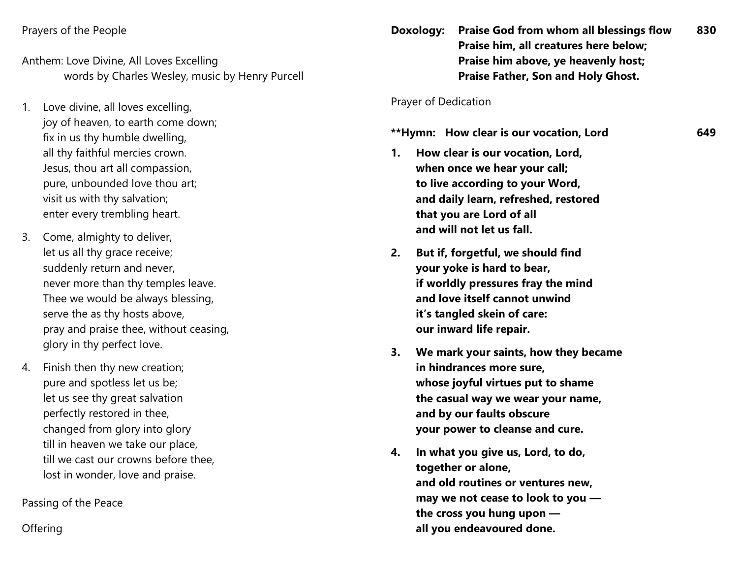- Anthem: Love Divine, All Loves Excelling words by Charles Wesley, music by Henry Purcell
- 1. Love divine, all loves excelling, joy of heaven, to earth come down; fix in us thy humble dwelling, all thy faithful mercies crown. Jesus, thou art all compassion, pure, unbounded love thou art; visit us with thy salvation; enter every trembling heart.
- 3. Come, almighty to deliver, let us all thy grace receive; suddenly return and never, never more than thy temples leave. Thee we would be always blessing, serve the as thy hosts above, pray and praise thee, without ceasing, glory in thy perfect love.
- 4. Finish then thy new creation; pure and spotless let us be; let us see thy great salvation perfectly restored in thee, changed from glory into glory till in heaven we take our place, till we cast our crowns before thee, lost in wonder, love and praise.

Passing of the Peace

**Offering** 

**Doxology: Praise God from whom all blessings flow 830 Praise him, all creatures here below; Praise him above, ye heavenly host; Praise Father, Son and Holy Ghost.**

#### Prayer of Dedication

#### **\*\*Hymn: How clear is our vocation, Lord 649**

- **1. How clear is our vocation, Lord, when once we hear your call; to live according to your Word, and daily learn, refreshed, restored that you are Lord of all and will not let us fall.**
- **2. But if, forgetful, we should find your yoke is hard to bear, if worldly pressures fray the mind and love itself cannot unwind it's tangled skein of care: our inward life repair.**
- **3. We mark your saints, how they became in hindrances more sure, whose joyful virtues put to shame the casual way we wear your name, and by our faults obscure your power to cleanse and cure.**
- **4. In what you give us, Lord, to do, together or alone, and old routines or ventures new, may we not cease to look to you the cross you hung upon all you endeavoured done.**